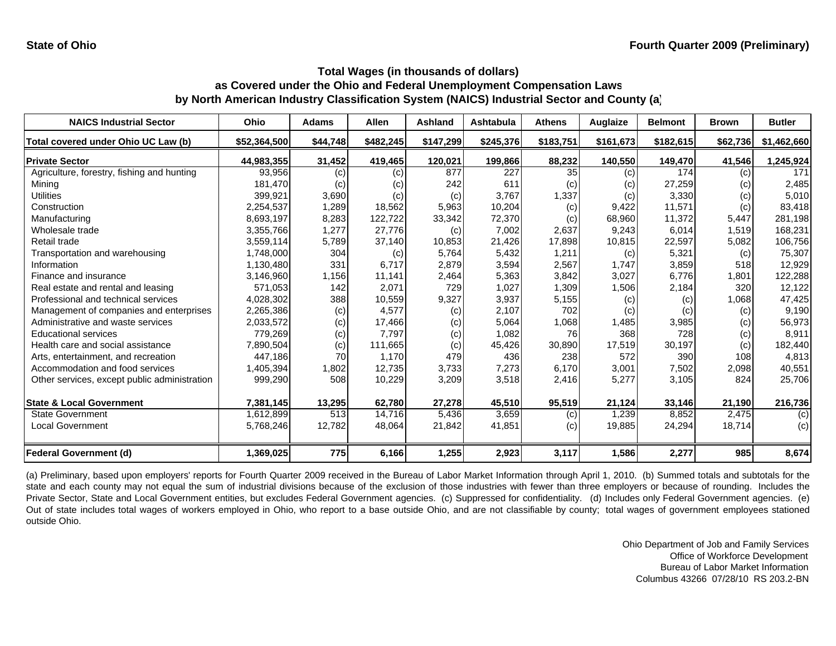| <b>NAICS Industrial Sector</b>               | Ohio         | <b>Adams</b> | <b>Allen</b> | Ashland   | <b>Ashtabula</b> | <b>Athens</b>   | Auglaize  | <b>Belmont</b> | <b>Brown</b> | <b>Butler</b> |
|----------------------------------------------|--------------|--------------|--------------|-----------|------------------|-----------------|-----------|----------------|--------------|---------------|
| Total covered under Ohio UC Law (b)          | \$52,364,500 | \$44,748     | \$482,245    | \$147,299 | \$245,376        | \$183,751       | \$161,673 | \$182,615      | \$62,736     | \$1,462,660   |
| <b>Private Sector</b>                        | 44,983,355   | 31,452       | 419,465      | 120,021   | 199,866          | 88,232          | 140,550   | 149,470        | 41,546       | 1,245,924     |
| Agriculture, forestry, fishing and hunting   | 93,956       | (c)          | (c)          | 877       | 227              | 35 <sub>l</sub> | (c)       | 174            | (c)          | 171           |
| Mining                                       | 181,470      | (c)          | (c)          | 242       | 611              | (c)             | (c)       | 27,259         | (c)          | 2,485         |
| Utilities                                    | 399,921      | 3,690        | (c)          | (c)       | 3,767            | 1,337           | (c)       | 3,330          | (c)          | 5,010         |
| Construction                                 | 2,254,537    | 1,289        | 18,562       | 5,963     | 10,204           | (c)             | 9,422     | 11,571         | (c)          | 83,418        |
| Manufacturing                                | 8,693,197    | 8,283        | 122,722      | 33,342    | 72,370           | (c)             | 68,960    | 11,372         | 5,447        | 281,198       |
| Wholesale trade                              | 3,355,766    | 1,277        | 27,776       | (c)       | 7,002            | 2,637           | 9,243     | 6,014          | 1,519        | 168,231       |
| Retail trade                                 | 3,559,114    | 5,789        | 37,140       | 10,853    | 21,426           | 17,898          | 10,815    | 22,597         | 5,082        | 106,756       |
| Transportation and warehousing               | 1,748,000    | 304          | (c)          | 5,764     | 5,432            | 1,211           | (c)       | 5,321          | (c)          | 75,307        |
| Information                                  | 1,130,480    | 331          | 6,717        | 2,879     | 3,594            | 2,567           | 1,747     | 3,859          | 518          | 12,929        |
| Finance and insurance                        | 3,146,960    | 1,156        | 11,141       | 2,464     | 5,363            | 3,842           | 3,027     | 6,776          | 1,801        | 122,288       |
| Real estate and rental and leasing           | 571,053      | 142          | 2,071        | 729       | 1,027            | 1,309           | 1,506     | 2,184          | 320          | 12,122        |
| Professional and technical services          | 4,028,302    | 388          | 10,559       | 9,327     | 3,937            | 5,155           | (c)       | (c)            | 1,068        | 47,425        |
| Management of companies and enterprises      | 2,265,386    | (c)          | 4,577        | (c)       | 2,107            | 702             | (c)       | (c)            | (c)          | 9,190         |
| Administrative and waste services            | 2,033,572    | (c)          | 17,466       | (c)       | 5,064            | 1,068           | 1,485     | 3,985          | (c)          | 56,973        |
| <b>Educational services</b>                  | 779.269      | (c)          | 7.797        | (c)       | 1,082            | <b>76</b>       | 368       | 728            | (c)          | 8,911         |
| Health care and social assistance            | 7,890,504    | (c)          | 111,665      | (c)       | 45,426           | 30,890          | 17,519    | 30,197         | (c)          | 182,440       |
| Arts, entertainment, and recreation          | 447.186      | 70           | 1,170        | 479       | 436              | 238             | 572       | 390            | 108          | 4,813         |
| Accommodation and food services              | 1,405,394    | 1,802        | 12,735       | 3,733     | 7,273            | 6,170           | 3,001     | 7,502          | 2,098        | 40,551        |
| Other services, except public administration | 999,290      | 508          | 10,229       | 3,209     | 3,518            | 2,416           | 5,277     | 3,105          | 824          | 25,706        |
| <b>State &amp; Local Government</b>          | 7,381,145    | 13,295       | 62,780       | 27,278    | 45,510           | 95,519          | 21,124    | 33,146         | 21,190       | 216,736       |
| <b>State Government</b>                      | 1,612,899    | 513          | 14,716       | 5,436     | 3,659            | (c)             | 1,239     | 8,852          | 2,475        | (c)           |
| <b>Local Government</b>                      | 5,768,246    | 12,782       | 48,064       | 21,842    | 41,851           | (c)             | 19,885    | 24,294         | 18,714       | (c)           |
| <b>Federal Government (d)</b>                | 1,369,025    | 775          | 6,166        | 1,255     | 2,923            | 3,117           | 1,586     | 2,277          | 985          | 8,674         |

(a) Preliminary, based upon employers' reports for Fourth Quarter 2009 received in the Bureau of Labor Market Information through April 1, 2010. (b) Summed totals and subtotals for the state and each county may not equal the sum of industrial divisions because of the exclusion of those industries with fewer than three employers or because of rounding. Includes the Private Sector, State and Local Government entities, but excludes Federal Government agencies. (c) Suppressed for confidentiality. (d) Includes only Federal Government agencies. (e) Out of state includes total wages of workers employed in Ohio, who report to <sup>a</sup> base outside Ohio, and are not classifiable by county; total wages of government employees stationed outside Ohio.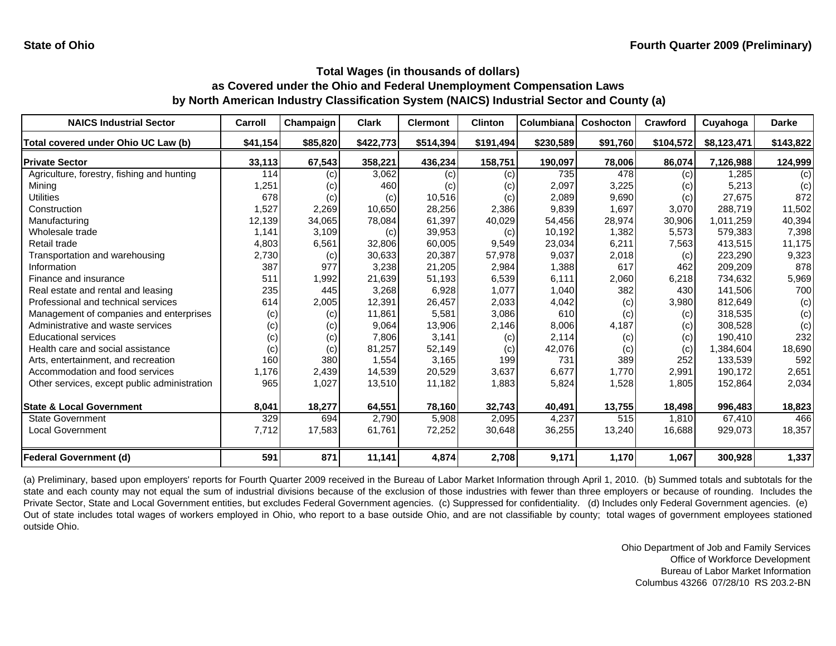| <b>NAICS Industrial Sector</b>               | Carroll  | Champaign | <b>Clark</b> | <b>Clermont</b> | <b>Clinton</b> | Columbiana | <b>Coshocton</b> | Crawford  | Cuyahoga    | <b>Darke</b> |
|----------------------------------------------|----------|-----------|--------------|-----------------|----------------|------------|------------------|-----------|-------------|--------------|
| Total covered under Ohio UC Law (b)          | \$41,154 | \$85,820  | \$422,773    | \$514,394       | \$191,494      | \$230,589  | \$91,760         | \$104,572 | \$8,123,471 | \$143,822    |
| <b>Private Sector</b>                        | 33,113   | 67,543    | 358,221      | 436,234         | 158,751        | 190,097    | 78,006           | 86,074    | 7,126,988   | 124,999      |
| Agriculture, forestry, fishing and hunting   | 114      | (c)       | 3,062        | (c)             | (c)            | 735        | 478              | (c)       | .285        | (c)          |
| Mining                                       | 1,251    | (c)       | 460          | (c)             | (c)            | 2,097      | 3,225            | (c)       | 5,213       | (c)          |
| Utilities                                    | 678      | (c)       | (c)          | 10,516          | (c)            | 2,089      | 9,690            | (c)       | 27,675      | 872          |
| Construction                                 | 1,527    | 2,269     | 10,650       | 28,256          | 2,386          | 9,839      | 1,697            | 3,070     | 288,719     | 11,502       |
| Manufacturing                                | 12,139   | 34,065    | 78,084       | 61,397          | 40,029         | 54,456     | 28,974           | 30,906    | 1,011,259   | 40,394       |
| Wholesale trade                              | 1,141    | 3,109     | (c)          | 39,953          | (c)            | 10,192     | 1,382            | 5,573     | 579,383     | 7,398        |
| Retail trade                                 | 4,803    | 6,561     | 32,806       | 60,005          | 9,549          | 23,034     | 6,211            | 7,563     | 413,515     | 11,175       |
| Transportation and warehousing               | 2,730    | (c)       | 30,633       | 20,387          | 57,978         | 9,037      | 2,018            | (c)       | 223,290     | 9,323        |
| Information                                  | 387      | 977       | 3,238        | 21,205          | 2,984          | 1,388      | 617              | 462       | 209,209     | 878          |
| Finance and insurance                        | 511      | 1,992     | 21,639       | 51,193          | 6,539          | 6,111      | 2,060            | 6,218     | 734,632     | 5,969        |
| Real estate and rental and leasing           | 235      | 445       | 3,268        | 6,928           | 1,077          | 1,040      | 382              | 430       | 141,506     | 700          |
| Professional and technical services          | 614      | 2,005     | 12,391       | 26,457          | 2,033          | 4,042      | (c)              | 3,980     | 812,649     | (c)          |
| Management of companies and enterprises      | (c)      | (c)       | 11,861       | 5,581           | 3,086          | 610        | (c)              | (c)       | 318,535     | (c)          |
| Administrative and waste services            | (c)      | (c)       | 9,064        | 13,906          | 2,146          | 8,006      | 4,187            | (c)       | 308,528     | (c)          |
| <b>Educational services</b>                  | (c)      | (c)       | 7,806        | 3,141           | (c)            | 2,114      | (c)              | (c)       | 190,410     | 232          |
| Health care and social assistance            | (c)      | (c)       | 81,257       | 52,149          | (c)            | 42,076     | (c)              | (c)       | 1,384,604   | 18,690       |
| Arts, entertainment, and recreation          | 160      | 380       | 1,554        | 3.165           | 199            | 731        | 389              | 252       | 133,539     | 592          |
| Accommodation and food services              | 1,176    | 2,439     | 14,539       | 20,529          | 3,637          | 6,677      | 1,770            | 2,991     | 190,172     | 2,651        |
| Other services, except public administration | 965      | 1,027     | 13,510       | 11,182          | 1,883          | 5,824      | 1,528            | 1,805     | 152,864     | 2,034        |
| <b>State &amp; Local Government</b>          | 8,041    | 18,277    | 64,551       | 78,160          | 32,743         | 40,491     | 13,755           | 18,498    | 996,483     | 18,823       |
| <b>State Government</b>                      | 329      | 694       | 2,790        | 5,908           | 2,095          | 4,237      | 515              | 1,810     | 67,410      | 466          |
| <b>Local Government</b>                      | 7,712    | 17,583    | 61,761       | 72,252          | 30,648         | 36,255     | 13,240           | 16,688    | 929,073     | 18,357       |
| <b>Federal Government (d)</b>                | 591      | 871       | 11,141       | 4,874           | 2,708          | 9,171      | 1,170            | 1,067     | 300,928     | 1,337        |

(a) Preliminary, based upon employers' reports for Fourth Quarter 2009 received in the Bureau of Labor Market Information through April 1, 2010. (b) Summed totals and subtotals for the state and each county may not equal the sum of industrial divisions because of the exclusion of those industries with fewer than three employers or because of rounding. Includes the Private Sector, State and Local Government entities, but excludes Federal Government agencies. (c) Suppressed for confidentiality. (d) Includes only Federal Government agencies. (e) Out of state includes total wages of workers employed in Ohio, who report to <sup>a</sup> base outside Ohio, and are not classifiable by county; total wages of government employees stationed outside Ohio.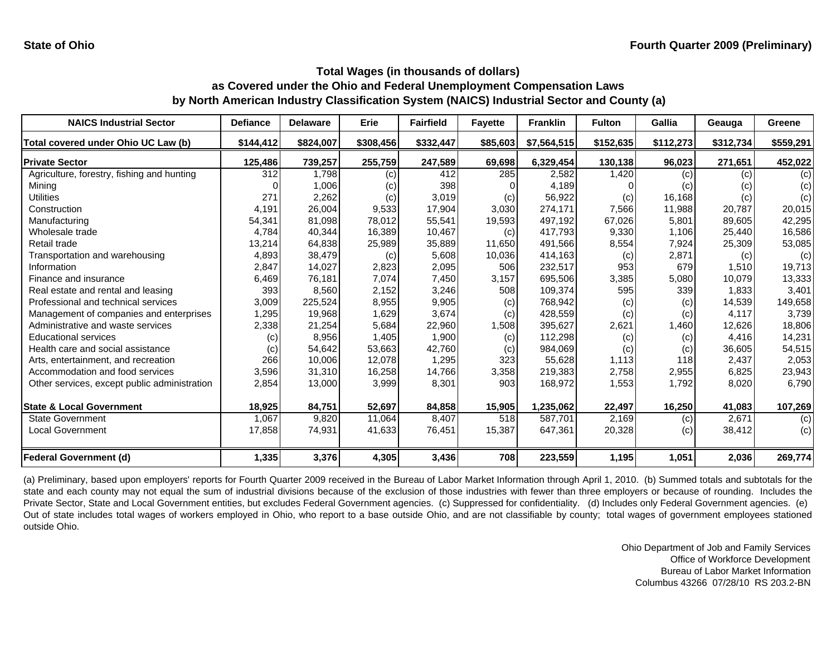| <b>NAICS Industrial Sector</b>               | <b>Defiance</b> | <b>Delaware</b> | <b>Erie</b> | <b>Fairfield</b> | <b>Fayette</b> | <b>Franklin</b> | <b>Fulton</b> | <b>Gallia</b> | Geauga    | Greene    |
|----------------------------------------------|-----------------|-----------------|-------------|------------------|----------------|-----------------|---------------|---------------|-----------|-----------|
| Total covered under Ohio UC Law (b)          | \$144,412       | \$824,007       | \$308,456   | \$332,447        | \$85,603       | \$7,564,515     | \$152,635     | \$112,273     | \$312,734 | \$559,291 |
| <b>Private Sector</b>                        | 125,486         | 739,257         | 255,759     | 247,589          | 69,698         | 6,329,454       | 130,138       | 96,023        | 271,651   | 452,022   |
| Agriculture, forestry, fishing and hunting   | 312             | 1,798           | (c)         | 412              | 285            | 2,582           | 1,420         | (c)           | (c)       | (c)       |
| Mining                                       |                 | 1,006           | (c)         | 398              |                | 4,189           |               | (c)           | (c)       | (c)       |
| Utilities                                    | 271             | 2,262           | (c)         | 3,019            | (c)            | 56,922          | (c)           | 16,168        | (c)       | (c)       |
| Construction                                 | 4,191           | 26,004          | 9,533       | 17,904           | 3,030          | 274,171         | 7,566         | 11,988        | 20,787    | 20,015    |
| Manufacturing                                | 54,341          | 81,098          | 78,012      | 55,541           | 19,593         | 497,192         | 67,026        | 5,801         | 89,605    | 42,295    |
| Wholesale trade                              | 4,784           | 40,344          | 16,389      | 10,467           | (c)            | 417,793         | 9,330         | 1,106         | 25,440    | 16,586    |
| Retail trade                                 | 13,214          | 64,838          | 25,989      | 35,889           | 11,650         | 491,566         | 8,554         | 7,924         | 25,309    | 53,085    |
| Transportation and warehousing               | 4,893           | 38,479          | (c)         | 5,608            | 10,036         | 414,163         | (c)           | 2,871         | (c)       | (c)       |
| Information                                  | 2,847           | 14,027          | 2,823       | 2,095            | 506            | 232,517         | 953           | 679           | 1,510     | 19,713    |
| Finance and insurance                        | 6,469           | 76,181          | 7,074       | 7,450            | 3,157          | 695,506         | 3,385         | 5,080         | 10,079    | 13,333    |
| Real estate and rental and leasing           | 393             | 8,560           | 2,152       | 3,246            | 508            | 109,374         | 595           | 339           | 1.833     | 3,401     |
| Professional and technical services          | 3,009           | 225,524         | 8,955       | 9,905            | (c)            | 768,942         | (c)           | (c)           | 14,539    | 149,658   |
| Management of companies and enterprises      | 1,295           | 19,968          | 1,629       | 3,674            | (c)            | 428,559         | (c)           | (c)           | 4.117     | 3,739     |
| Administrative and waste services            | 2,338           | 21,254          | 5,684       | 22,960           | 1,508          | 395,627         | 2,621         | 1,460         | 12.626    | 18,806    |
| <b>Educational services</b>                  | (c)             | 8,956           | 1,405       | 1,900            | (c)            | 112,298         | (c)           | (c)           | 4,416     | 14,231    |
| Health care and social assistance            | (c)             | 54,642          | 53,663      | 42.760           | (c)            | 984,069         | (c)           | (c)           | 36,605    | 54,515    |
| Arts, entertainment, and recreation          | 266             | 10,006          | 12,078      | 1,295            | 323            | 55,628          | 1,113         | 118           | 2,437     | 2,053     |
| Accommodation and food services              | 3,596           | 31,310          | 16,258      | 14,766           | 3,358          | 219,383         | 2,758         | 2,955         | 6,825     | 23,943    |
| Other services, except public administration | 2,854           | 13,000          | 3,999       | 8,301            | 903            | 168,972         | 1,553         | 1,792         | 8,020     | 6,790     |
| <b>State &amp; Local Government</b>          | 18,925          | 84,751          | 52,697      | 84,858           | 15,905         | 1,235,062       | 22,497        | 16,250        | 41,083    | 107,269   |
| <b>State Government</b>                      | 1,067           | 9,820           | 11,064      | 8,407            | 518            | 587,701         | 2,169         | (c)           | 2,671     | (c)       |
| <b>Local Government</b>                      | 17,858          | 74,931          | 41,633      | 76,451           | 15,387         | 647,361         | 20,328        | (c)           | 38,412    | (c)       |
| <b>Federal Government (d)</b>                | 1,335           | 3,376           | 4,305       | 3,436            | 708            | 223,559         | 1,195         | 1,051         | 2,036     | 269,774   |

(a) Preliminary, based upon employers' reports for Fourth Quarter 2009 received in the Bureau of Labor Market Information through April 1, 2010. (b) Summed totals and subtotals for the state and each county may not equal the sum of industrial divisions because of the exclusion of those industries with fewer than three employers or because of rounding. Includes the Private Sector, State and Local Government entities, but excludes Federal Government agencies. (c) Suppressed for confidentiality. (d) Includes only Federal Government agencies. (e) Out of state includes total wages of workers employed in Ohio, who report to <sup>a</sup> base outside Ohio, and are not classifiable by county; total wages of government employees stationed outside Ohio.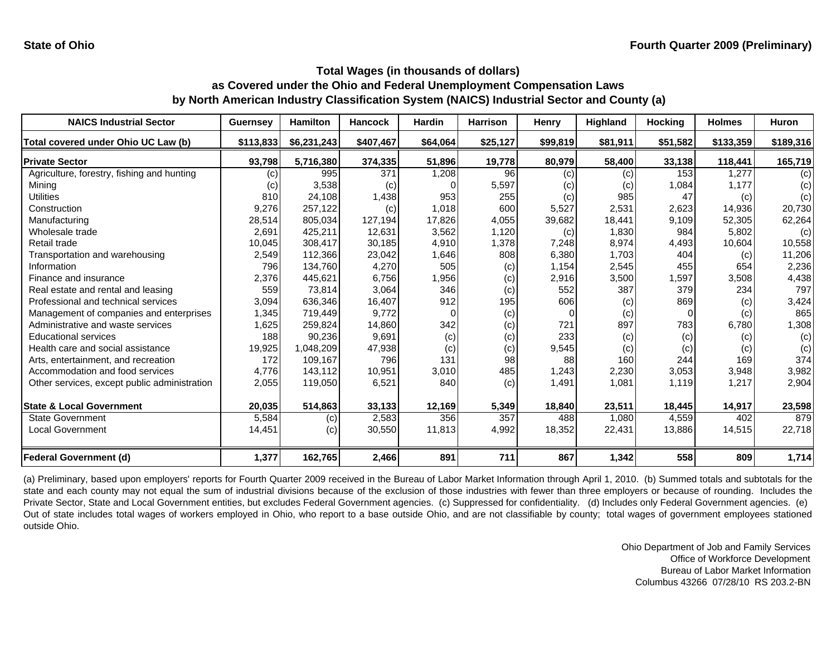| <b>NAICS Industrial Sector</b>               | <b>Guernsey</b>   | <b>Hamilton</b> | <b>Hancock</b> | <b>Hardin</b> | <b>Harrison</b> | Henry    | <b>Highland</b> | <b>Hocking</b> | <b>Holmes</b> | <b>Huron</b> |
|----------------------------------------------|-------------------|-----------------|----------------|---------------|-----------------|----------|-----------------|----------------|---------------|--------------|
| Total covered under Ohio UC Law (b)          | \$113,833         | \$6,231,243     | \$407,467      | \$64,064      | \$25,127        | \$99,819 | \$81,911        | \$51,582       | \$133,359     | \$189,316    |
| <b>Private Sector</b>                        | 93,798            | 5,716,380       | 374,335        | 51,896        | 19,778          | 80,979   | 58,400          | 33,138         | 118,441       | 165,719      |
| Agriculture, forestry, fishing and hunting   | $\left( c\right)$ | 995             | 371            | 1,208         | 96              | (c)      | (c)             | 153            | 1,277         | (c)          |
| Mining                                       | (c)               | 3,538           | (c)            |               | 5,597           | (c)      | (c)             | 1,084          | 1,177         | (c)          |
| <b>Utilities</b>                             | 810               | 24,108          | 1,438          | 953           | 255             | (c)      | 985             | 47             | (c)           | (c)          |
| Construction                                 | 9,276             | 257,122         | (c)            | 1,018         | 600             | 5,527    | 2,531           | 2,623          | 14,936        | 20,730       |
| Manufacturing                                | 28,514            | 805,034         | 127,194        | 17,826        | 4,055           | 39,682   | 18,441          | 9,109          | 52,305        | 62,264       |
| Wholesale trade                              | 2,691             | 425,211         | 12,631         | 3,562         | 1,120           | (c)      | 1,830           | 984            | 5,802         | (c)          |
| Retail trade                                 | 10,045            | 308,417         | 30,185         | 4,910         | 1,378           | 7,248    | 8,974           | 4,493          | 10,604        | 10,558       |
| Transportation and warehousing               | 2,549             | 112,366         | 23,042         | 1,646         | 808             | 6,380    | 1,703           | 404            | (c)           | 11,206       |
| Information                                  | 796               | 134.760         | 4,270          | 505           | (c)             | 1,154    | 2,545           | 455            | 654           | 2,236        |
| Finance and insurance                        | 2,376             | 445,621         | 6,756          | 1,956         | (c)             | 2,916    | 3,500           | 1,597          | 3,508         | 4,438        |
| Real estate and rental and leasing           | 559               | 73,814          | 3,064          | 346           | (c)             | 552      | 387             | 379            | 234           | 797          |
| Professional and technical services          | 3,094             | 636,346         | 16,407         | 912           | 195             | 606      | (c)             | 869            | (c)           | 3,424        |
| Management of companies and enterprises      | 1,345             | 719,449         | 9,772          | O             | (c)             |          | (c)             | 0              | (c)           | 865          |
| Administrative and waste services            | 1,625             | 259,824         | 14,860         | 342           | (c)             | 721      | 897             | 783            | 6,780         | 1,308        |
| <b>Educational services</b>                  | 188               | 90,236          | 9,691          | (c)           | (c)             | 233      | (c)             | (c)            | (c)           | (c)          |
| Health care and social assistance            | 19,925            | 1,048,209       | 47,938         | (c)           | (c)             | 9,545    | (c)             | (c)            | (c)           | (c)          |
| Arts, entertainment, and recreation          | 172               | 109,167         | 796            | 131           | 98              | 88       | 160             | 244            | 169           | 374          |
| Accommodation and food services              | 4,776             | 143,112         | 10,951         | 3,010         | 485             | 1,243    | 2,230           | 3,053          | 3,948         | 3,982        |
| Other services, except public administration | 2,055             | 119,050         | 6,521          | 840           | (c)             | 1,491    | 1,081           | 1,119          | 1,217         | 2,904        |
| <b>State &amp; Local Government</b>          | 20,035            | 514,863         | 33,133         | 12,169        | 5,349           | 18,840   | 23,511          | 18,445         | 14,917        | 23,598       |
| <b>State Government</b>                      | 5,584             | (c)             | 2,583          | 356           | 357             | 488      | 1,080           | 4,559          | 402           | 879          |
| Local Government                             | 14,451            | (c)             | 30,550         | 11,813        | 4,992           | 18,352   | 22,431          | 13,886         | 14,515        | 22,718       |
| <b>Federal Government (d)</b>                | 1,377             | 162,765         | 2,466          | 891           | 711             | 867      | 1,342           | 558            | 809           | 1,714        |

(a) Preliminary, based upon employers' reports for Fourth Quarter 2009 received in the Bureau of Labor Market Information through April 1, 2010. (b) Summed totals and subtotals for the state and each county may not equal the sum of industrial divisions because of the exclusion of those industries with fewer than three employers or because of rounding. Includes the Private Sector, State and Local Government entities, but excludes Federal Government agencies. (c) Suppressed for confidentiality. (d) Includes only Federal Government agencies. (e) Out of state includes total wages of workers employed in Ohio, who report to <sup>a</sup> base outside Ohio, and are not classifiable by county; total wages of government employees stationed outside Ohio.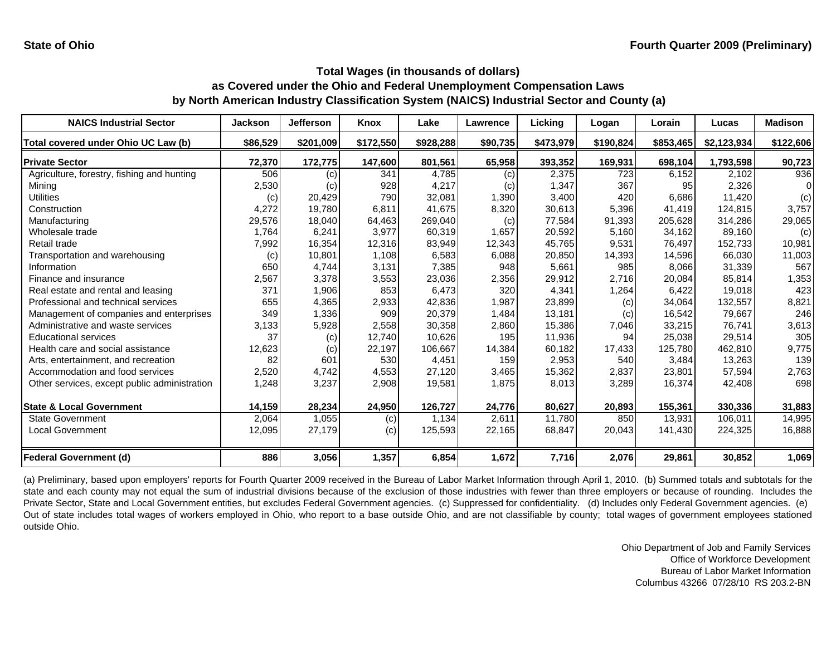| <b>NAICS Industrial Sector</b>               | <b>Jackson</b> | Jefferson | Knox      | Lake      | Lawrence | Licking   | Logan     | Lorain    | Lucas       | <b>Madison</b> |
|----------------------------------------------|----------------|-----------|-----------|-----------|----------|-----------|-----------|-----------|-------------|----------------|
| Total covered under Ohio UC Law (b)          | \$86,529       | \$201,009 | \$172,550 | \$928,288 | \$90,735 | \$473,979 | \$190,824 | \$853,465 | \$2,123,934 | \$122,606      |
| <b>Private Sector</b>                        | 72,370         | 172,775   | 147,600   | 801,561   | 65,958   | 393,352   | 169,931   | 698,104   | 1,793,598   | 90,723         |
| Agriculture, forestry, fishing and hunting   | 506            | (c)       | 341       | 4,785     | (c)      | 2,375     | 723       | 6,152     | 2,102       | 936            |
| Mining                                       | 2,530          | (c)       | 928       | 4,217     | (c)      | 1,347     | 367       | 95        | 2,326       |                |
| <b>Utilities</b>                             | (c)            | 20,429    | 790       | 32,081    | 1,390    | 3,400     | 420       | 6,686     | 11.420      | (c)            |
| Construction                                 | 4,272          | 19,780    | 6,811     | 41,675    | 8,320    | 30,613    | 5,396     | 41,419    | 124,815     | 3,757          |
| Manufacturing                                | 29,576         | 18,040    | 64,463    | 269,040   | (c)      | 77,584    | 91,393    | 205,628   | 314,286     | 29,065         |
| Wholesale trade                              | 1,764          | 6,241     | 3.977     | 60,319    | 1,657    | 20,592    | 5.160     | 34.162    | 89,160      | (c)            |
| Retail trade                                 | 7,992          | 16,354    | 12,316    | 83,949    | 12,343   | 45,765    | 9,531     | 76,497    | 152,733     | 10,981         |
| Transportation and warehousing               | (c)            | 10,801    | 1,108     | 6,583     | 6,088    | 20,850    | 14,393    | 14,596    | 66,030      | 11,003         |
| Information                                  | 650            | 4,744     | 3,131     | 7,385     | 948      | 5,661     | 985       | 8,066     | 31,339      | 567            |
| Finance and insurance                        | 2,567          | 3,378     | 3,553     | 23,036    | 2,356    | 29,912    | 2,716     | 20,084    | 85,814      | 1,353          |
| Real estate and rental and leasing           | 371            | 1,906     | 853       | 6,473     | 320      | 4,341     | 1,264     | 6,422     | 19,018      | 423            |
| Professional and technical services          | 655            | 4,365     | 2,933     | 42,836    | 1,987    | 23,899    | (c)       | 34,064    | 132,557     | 8,821          |
| Management of companies and enterprises      | 349            | 1,336     | 909       | 20,379    | 1,484    | 13,181    | (c)       | 16.542    | 79,667      | 246            |
| Administrative and waste services            | 3,133          | 5,928     | 2,558     | 30,358    | 2,860    | 15,386    | 7,046     | 33,215    | 76,741      | 3,613          |
| <b>Educational services</b>                  | 37             | (c)       | 12,740    | 10,626    | 195      | 11,936    | 94        | 25,038    | 29,514      | 305            |
| Health care and social assistance            | 12,623         | (c)       | 22,197    | 106,667   | 14,384   | 60,182    | 17,433    | 125,780   | 462,810     | 9,775          |
| Arts, entertainment, and recreation          | 82             | 601       | 530       | 4,451     | 159      | 2,953     | 540       | 3,484     | 13,263      | 139            |
| Accommodation and food services              | 2,520          | 4,742     | 4,553     | 27,120    | 3,465    | 15,362    | 2,837     | 23,801    | 57,594      | 2,763          |
| Other services, except public administration | 1,248          | 3,237     | 2,908     | 19,581    | 1,875    | 8,013     | 3,289     | 16,374    | 42,408      | 698            |
| <b>State &amp; Local Government</b>          | 14,159         | 28,234    | 24,950    | 126,727   | 24,776   | 80,627    | 20,893    | 155,361   | 330,336     | 31,883         |
| <b>State Government</b>                      | 2,064          | 1,055     | (c)       | 1,134     | 2,611    | 11.780    | 850       | 13,931    | 106,011     | 14,995         |
| <b>Local Government</b>                      | 12,095         | 27,179    | (c)       | 125,593   | 22,165   | 68,847    | 20,043    | 141,430   | 224,325     | 16,888         |
| <b>Federal Government (d)</b>                | 886            | 3,056     | 1,357     | 6,854     | 1,672    | 7,716     | 2,076     | 29,861    | 30,852      | 1,069          |

(a) Preliminary, based upon employers' reports for Fourth Quarter 2009 received in the Bureau of Labor Market Information through April 1, 2010. (b) Summed totals and subtotals for the state and each county may not equal the sum of industrial divisions because of the exclusion of those industries with fewer than three employers or because of rounding. Includes the Private Sector, State and Local Government entities, but excludes Federal Government agencies. (c) Suppressed for confidentiality. (d) Includes only Federal Government agencies. (e) Out of state includes total wages of workers employed in Ohio, who report to <sup>a</sup> base outside Ohio, and are not classifiable by county; total wages of government employees stationed outside Ohio.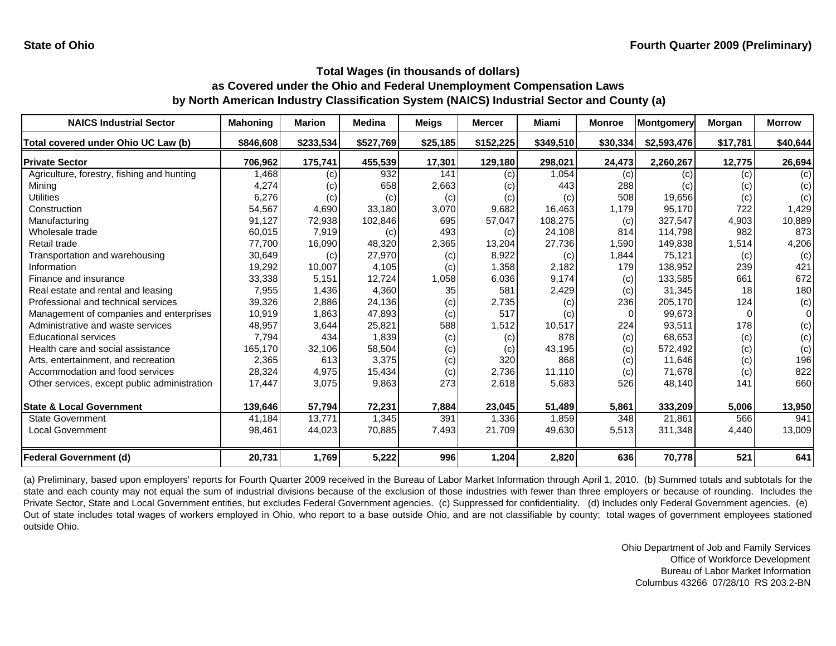| <b>NAICS Industrial Sector</b>               | <b>Mahoning</b> | <b>Marion</b> | <b>Medina</b> | <b>Meigs</b> | <b>Mercer</b> | <b>Miami</b> | <b>Monroe</b> | <b>Montgomery</b> | Morgan   | <b>Morrow</b> |
|----------------------------------------------|-----------------|---------------|---------------|--------------|---------------|--------------|---------------|-------------------|----------|---------------|
| Total covered under Ohio UC Law (b)          | \$846,608       | \$233,534     | \$527,769     | \$25,185     | \$152,225     | \$349,510    | \$30,334      | \$2,593,476       | \$17,781 | \$40,644      |
| <b>Private Sector</b>                        | 706,962         | 175,741       | 455,539       | 17,301       | 129,180       | 298,021      | 24,473        | 2,260,267         | 12,775   | 26,694        |
| Agriculture, forestry, fishing and hunting   | 1,468           | (c)           | 932           | 141          | (c)           | 1,054        | (c)           | (c)               | (c)      | (c)           |
| Minina                                       | 4,274           | (c)           | 658           | 2,663        | (c)           | 443          | 288           | (c)               | (c)      | (c)           |
| Utilities                                    | 6,276           | (c)           | (c)           | (c)          | (c)           | (c)          | 508           | 19,656            | (c)      | (c)           |
| Construction                                 | 54,567          | 4,690         | 33.180        | 3,070        | 9,682         | 16,463       | 1,179         | 95,170            | 722      | 1,429         |
| Manufacturing                                | 91,127          | 72,938        | 102,846       | 695          | 57,047        | 108,275      | (c)           | 327,547           | 4,903    | 10,889        |
| Wholesale trade                              | 60,015          | 7,919         | (c)           | 493          | (c)           | 24,108       | 814           | 114.798           | 982      | 873           |
| Retail trade                                 | 77.700          | 16,090        | 48,320        | 2,365        | 13,204        | 27,736       | 1,590         | 149,838           | 1,514    | 4,206         |
| Transportation and warehousing               | 30,649          | (c)           | 27,970        | (c)          | 8,922         | (c)          | 1,844         | 75,121            | (c)      | (c)           |
| Information                                  | 19,292          | 10,007        | 4,105         | (c)          | 1,358         | 2,182        | 179           | 138.952           | 239      | 421           |
| Finance and insurance                        | 33,338          | 5,151         | 12,724        | 1,058        | 6,036         | 9,174        | (c)           | 133,585           | 661      | 672           |
| Real estate and rental and leasing           | 7,955           | 1,436         | 4,360         | 35           | 581           | 2,429        | (c)           | 31,345            | 18       | 180           |
| Professional and technical services          | 39,326          | 2,886         | 24,136        | (c)          | 2,735         | (c)          | 236           | 205,170           | 124      | (c)           |
| Management of companies and enterprises      | 10,919          | 1,863         | 47.893        | (c)          | 517           | (c)          |               | 99.673            | $\Omega$ | $\Omega$      |
| Administrative and waste services            | 48,957          | 3,644         | 25,821        | 588          | 1,512         | 10,517       | 224           | 93,511            | 178      | (c)           |
| <b>Educational services</b>                  | 7,794           | 434           | 1,839         | (c)          | (c)           | 878          | (c)           | 68,653            | (c)      | (c)           |
| Health care and social assistance            | 165,170         | 32,106        | 58,504        | (c)          | (c)           | 43,195       | (c)           | 572,492           | (c)      | (c)           |
| Arts, entertainment, and recreation          | 2,365           | 613           | 3,375         | (c)          | 320           | 868          | (c)           | 11,646            | (c)      | 196           |
| Accommodation and food services              | 28,324          | 4,975         | 15,434        | (c)          | 2,736         | 11,110       | (c)           | 71,678            | (c)      | 822           |
| Other services, except public administration | 17,447          | 3,075         | 9,863         | 273          | 2,618         | 5,683        | 526           | 48,140            | 141      | 660           |
| <b>State &amp; Local Government</b>          | 139,646         | 57,794        | 72,231        | 7,884        | 23,045        | 51,489       | 5,861         | 333,209           | 5,006    | 13,950        |
| <b>State Government</b>                      | 41,184          | 13,771        | 1,345         | 391          | 1,336         | 1,859        | 348           | 21.861            | 566      | 941           |
| <b>Local Government</b>                      | 98,461          | 44,023        | 70,885        | 7,493        | 21,709        | 49,630       | 5,513         | 311,348           | 4,440    | 13,009        |
| <b>Federal Government (d)</b>                | 20,731          | 1,769         | 5,222         | 996          | 1,204         | 2,820        | 636           | 70,778            | 521      | 641           |

(a) Preliminary, based upon employers' reports for Fourth Quarter 2009 received in the Bureau of Labor Market Information through April 1, 2010. (b) Summed totals and subtotals for the state and each county may not equal the sum of industrial divisions because of the exclusion of those industries with fewer than three employers or because of rounding. Includes the Private Sector, State and Local Government entities, but excludes Federal Government agencies. (c) Suppressed for confidentiality. (d) Includes only Federal Government agencies. (e) Out of state includes total wages of workers employed in Ohio, who report to <sup>a</sup> base outside Ohio, and are not classifiable by county; total wages of government employees stationed outside Ohio.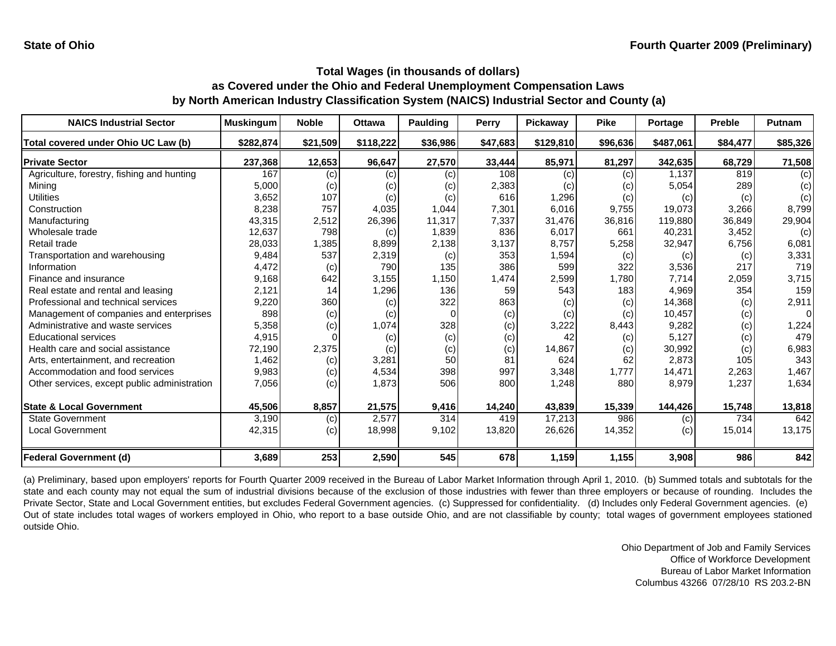| <b>NAICS Industrial Sector</b>               | <b>Muskingum</b> | <b>Noble</b> | <b>Ottawa</b> | <b>Paulding</b> | Perry    | Pickaway  | <b>Pike</b> | Portage   | <b>Preble</b> | Putnam   |
|----------------------------------------------|------------------|--------------|---------------|-----------------|----------|-----------|-------------|-----------|---------------|----------|
| Total covered under Ohio UC Law (b)          | \$282,874        | \$21,509     | \$118,222     | \$36,986        | \$47,683 | \$129,810 | \$96,636    | \$487,061 | \$84,477      | \$85,326 |
| <b>Private Sector</b>                        | 237,368          | 12,653       | 96,647        | 27,570          | 33,444   | 85,971    | 81,297      | 342,635   | 68,729        | 71,508   |
| Agriculture, forestry, fishing and hunting   | 167              | (c)          | (c)           | (c)             | 108      | (c)       | (c)         | 1,137     | 819           | (c)      |
| Minina                                       | 5,000            | (c)          | (c)           | (c)             | 2,383    | (C)       | (c)         | 5,054     | 289           | (c)      |
| Utilities                                    | 3,652            | 107          | (c)           | (c)             | 616      | 1,296     | (c)         | (c)       | (c)           | (c)      |
| Construction                                 | 8,238            | 757          | 4,035         | 1,044           | 7,301    | 6,016     | 9,755       | 19,073    | 3,266         | 8,799    |
| Manufacturing                                | 43,315           | 2,512        | 26,396        | 11,317          | 7,337    | 31,476    | 36,816      | 119,880   | 36,849        | 29,904   |
| Wholesale trade                              | 12,637           | 798          | (c)           | 1,839           | 836      | 6,017     | 661         | 40,231    | 3,452         | (c)      |
| Retail trade                                 | 28,033           | 1,385        | 8,899         | 2,138           | 3,137    | 8,757     | 5,258       | 32,947    | 6,756         | 6,081    |
| Transportation and warehousing               | 9,484            | 537          | 2,319         | (c)             | 353      | 1,594     | (c)         | (c)       | (c)           | 3,331    |
| Information                                  | 4,472            | (c)          | 790           | 135             | 386      | 599       | 322         | 3,536     | 217           | 719      |
| Finance and insurance                        | 9,168            | 642          | 3,155         | 1,150           | 1,474    | 2,599     | 1,780       | 7,714     | 2,059         | 3,715    |
| Real estate and rental and leasing           | 2,121            | 14           | 1,296         | 136             | 59       | 543       | 183         | 4,969     | 354           | 159      |
| Professional and technical services          | 9,220            | 360          | (c)           | 322             | 863      | (c)       | (c)         | 14,368    | (c)           | 2,911    |
| Management of companies and enterprises      | 898              | (c)          | (c)           |                 | (c)      | (c)       | (c)         | 10,457    | (c)           | $\Omega$ |
| Administrative and waste services            | 5,358            | (c)          | 1,074         | 328             | (c)      | 3,222     | 8,443       | 9,282     | (c)           | 1,224    |
| <b>Educational services</b>                  | 4,915            |              | (c)           | (c)             | (c)      | 42        | (c)         | 5,127     | (c)           | 479      |
| Health care and social assistance            | 72,190           | 2,375        | (c)           | (c)             | (c)      | 14,867    | (c)         | 30,992    | (c)           | 6,983    |
| Arts, entertainment, and recreation          | 1,462            | (c)          | 3,281         | 50              | 81       | 624       | 62          | 2,873     | 105           | 343      |
| Accommodation and food services              | 9,983            | (c)          | 4,534         | 398             | 997      | 3,348     | 1,777       | 14,471    | 2,263         | 1,467    |
| Other services, except public administration | 7,056            | (c)          | 1,873         | 506             | 800      | 1,248     | 880         | 8,979     | 1,237         | 1,634    |
| <b>State &amp; Local Government</b>          | 45,506           | 8,857        | 21,575        | 9,416           | 14,240   | 43,839    | 15,339      | 144,426   | 15,748        | 13,818   |
| <b>State Government</b>                      | 3,190            | (c)          | 2,577         | 314             | 419      | 17,213    | 986         | (c)       | 734           | 642      |
| <b>Local Government</b>                      | 42,315           | (c)          | 18,998        | 9,102           | 13,820   | 26,626    | 14,352      | (c)       | 15,014        | 13,175   |
| <b>Federal Government (d)</b>                | 3,689            | 253          | 2,590         | 545             | 678      | 1,159     | 1,155       | 3,908     | 986           | 842      |

(a) Preliminary, based upon employers' reports for Fourth Quarter 2009 received in the Bureau of Labor Market Information through April 1, 2010. (b) Summed totals and subtotals for the state and each county may not equal the sum of industrial divisions because of the exclusion of those industries with fewer than three employers or because of rounding. Includes the Private Sector, State and Local Government entities, but excludes Federal Government agencies. (c) Suppressed for confidentiality. (d) Includes only Federal Government agencies. (e) Out of state includes total wages of workers employed in Ohio, who report to <sup>a</sup> base outside Ohio, and are not classifiable by county; total wages of government employees stationed outside Ohio.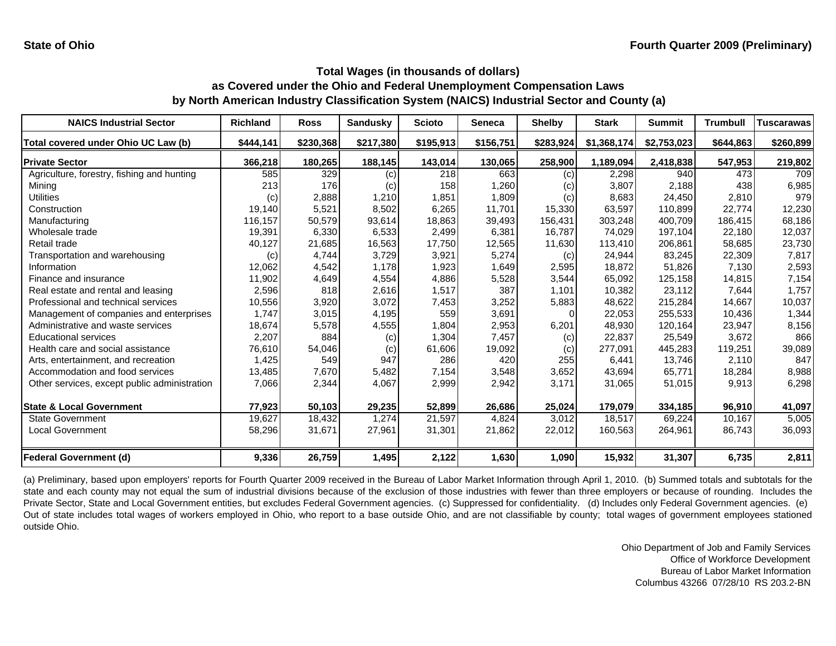| <b>NAICS Industrial Sector</b>               | <b>Richland</b> | <b>Ross</b> | <b>Sandusky</b> | <b>Scioto</b> | <b>Seneca</b> | <b>Shelby</b> | <b>Stark</b> | <b>Summit</b> | <b>Trumbull</b> | <b>Tuscarawas</b> |
|----------------------------------------------|-----------------|-------------|-----------------|---------------|---------------|---------------|--------------|---------------|-----------------|-------------------|
| Total covered under Ohio UC Law (b)          | \$444,141       | \$230,368   | \$217,380       | \$195,913     | \$156,751     | \$283,924     | \$1,368,174  | \$2,753,023   | \$644,863       | \$260,899         |
| <b>Private Sector</b>                        | 366,218         | 180,265     | 188,145         | 143,014       | 130,065       | 258,900       | 1,189,094    | 2,418,838     | 547,953         | 219,802           |
| Agriculture, forestry, fishing and hunting   | 585             | 329         | (c)             | 218           | 663           | (c)           | 2,298        | 940           | 473             | 709               |
| Mining                                       | 213             | 176         | (c)             | 158           | 1,260         | (c)           | 3,807        | 2.188         | 438             | 6,985             |
| Utilities                                    | (c)             | 2,888       | 1,210           | 1,851         | 1,809         | (c)           | 8,683        | 24,450        | 2,810           | 979               |
| Construction                                 | 19,140          | 5,521       | 8,502           | 6,265         | 11,701        | 15,330        | 63,597       | 110,899       | 22.774          | 12,230            |
| Manufacturing                                | 116,157         | 50,579      | 93,614          | 18,863        | 39,493        | 156,431       | 303,248      | 400.709       | 186,415         | 68,186            |
| Wholesale trade                              | 19,391          | 6,330       | 6,533           | 2,499         | 6,381         | 16,787        | 74,029       | 197,104       | 22,180          | 12,037            |
| Retail trade                                 | 40,127          | 21,685      | 16,563          | 17,750        | 12,565        | 11,630        | 113,410      | 206,861       | 58,685          | 23,730            |
| Transportation and warehousing               | (c)             | 4,744       | 3,729           | 3,921         | 5,274         | (c)           | 24,944       | 83,245        | 22,309          | 7,817             |
| Information                                  | 12,062          | 4,542       | 1,178           | 1,923         | 1,649         | 2,595         | 18,872       | 51,826        | 7,130           | 2,593             |
| Finance and insurance                        | 11,902          | 4,649       | 4,554           | 4,886         | 5,528         | 3,544         | 65,092       | 125,158       | 14,815          | 7,154             |
| Real estate and rental and leasing           | 2,596           | 818         | 2,616           | 1,517         | 387           | 1,101         | 10,382       | 23,112        | 7,644           | 1,757             |
| Professional and technical services          | 10,556          | 3,920       | 3,072           | 7,453         | 3,252         | 5,883         | 48,622       | 215,284       | 14,667          | 10,037            |
| Management of companies and enterprises      | 1,747           | 3,015       | 4,195           | 559           | 3,691         |               | 22,053       | 255,533       | 10,436          | 1,344             |
| Administrative and waste services            | 18,674          | 5,578       | 4,555           | 1,804         | 2,953         | 6,201         | 48,930       | 120,164       | 23,947          | 8,156             |
| <b>Educational services</b>                  | 2,207           | 884         | (c)             | 1,304         | 7,457         | (c)           | 22,837       | 25,549        | 3,672           | 866               |
| Health care and social assistance            | 76,610          | 54,046      | (c)             | 61,606        | 19,092        | (c)           | 277,091      | 445,283       | 119,251         | 39,089            |
| Arts, entertainment, and recreation          | 1,425           | 549         | 947             | 286           | 420           | 255           | 6,441        | 13,746        | 2,110           | 847               |
| Accommodation and food services              | 13,485          | 7,670       | 5,482           | 7,154         | 3,548         | 3,652         | 43,694       | 65,771        | 18,284          | 8,988             |
| Other services, except public administration | 7,066           | 2,344       | 4,067           | 2,999         | 2,942         | 3,171         | 31,065       | 51,015        | 9,913           | 6,298             |
| <b>State &amp; Local Government</b>          | 77,923          | 50,103      | 29,235          | 52,899        | 26,686        | 25,024        | 179,079      | 334,185       | 96,910          | 41,097            |
| <b>State Government</b>                      | 19,627          | 18,432      | 1,274           | 21,597        | 4,824         | 3,012         | 18,517       | 69,224        | 10,167          | 5,005             |
| <b>Local Government</b>                      | 58,296          | 31,671      | 27,961          | 31,301        | 21,862        | 22,012        | 160,563      | 264,961       | 86,743          | 36,093            |
| <b>Federal Government (d)</b>                | 9,336           | 26,759      | 1,495           | 2,122         | 1,630         | 1,090         | 15,932       | 31,307        | 6,735           | 2,811             |

(a) Preliminary, based upon employers' reports for Fourth Quarter 2009 received in the Bureau of Labor Market Information through April 1, 2010. (b) Summed totals and subtotals for the state and each county may not equal the sum of industrial divisions because of the exclusion of those industries with fewer than three employers or because of rounding. Includes the Private Sector, State and Local Government entities, but excludes Federal Government agencies. (c) Suppressed for confidentiality. (d) Includes only Federal Government agencies. (e) Out of state includes total wages of workers employed in Ohio, who report to <sup>a</sup> base outside Ohio, and are not classifiable by county; total wages of government employees stationed outside Ohio.